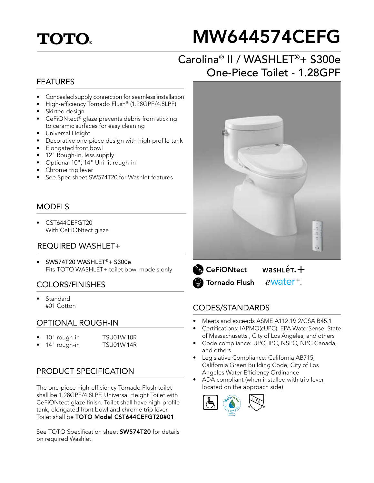## **TOTO.**

# MW644574CEFG

## Carolina® II / WASHLET®+ S300e One-Piece Toilet - 1.28GPF

#### FEATURES

- Concealed supply connection for seamless installation
- High-efficiency Tornado Flush® (1.28GPF/4.8LPF)
- Skirted design
- CeFiONtect<sup>®</sup> glaze prevents debris from sticking to ceramic surfaces for easy cleaning
- Universal Height
- Decorative one-piece design with high-profile tank
- Elongated front bowl
- 12" Rough-in, less supply
- Optional 10"; 14" Uni-fit rough-in
- Chrome trip lever
- See Spec sheet SW574T20 for Washlet features

#### MODELS

• CST644CEFGT20 With CeFiONtect glaze

#### REQUIRED WASHLET+

• SW574T20 WASHLET®+ S300e Fits TOTO WASHLET+ toilet bowl models only

#### COLORS/FINISHES

**Standard** #01 Cotton

#### OPTIONAL ROUGH-IN

- 10" rough-in TSU01W.10R
	- 14" rough-in TSU01W.14R

#### PRODUCT SPECIFICATION

The one-piece high-efficiency Tornado Flush toilet shall be 1.28GPF/4.8LPF. Universal Height Toilet with CeFiONtect glaze finish. Toilet shall have high-profile tank, elongated front bowl and chrome trip lever. Toilet shall be TOTO Model CST644CEFGT20#01.

See TOTO Specification sheet **SW574T20** for details on required Washlet.



 $wasnLér +$ **CeFiONtect** ewater<sup>+</sup> Tornado Flush

#### CODES/STANDARDS

- Meets and exceeds ASME A112.19.2/CSA B45.1
- Certifications: IAPMO(cUPC), EPA WaterSense, State of Massachusetts , City of Los Angeles, and others
- Code compliance: UPC, IPC, NSPC, NPC Canada, and others
- Legislative Compliance: California AB715, California Green Building Code, City of Los Angeles Water Efficiency Ordinance
- ADA compliant (when installed with trip lever located on the approach side)